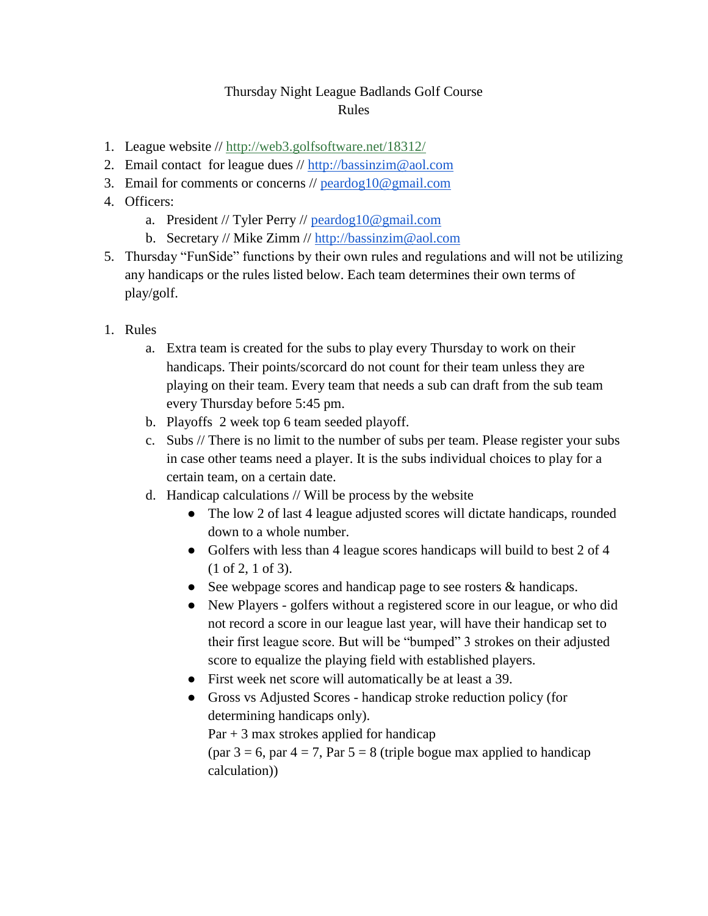## Thursday Night League Badlands Golf Course Rules

- 1. League website //<http://web3.golfsoftware.net/18312/>
- 2. Email contact for league dues // [http://bassinzim@aol.com](http://bassinzim@aol.com/)
- 3. Email for comments or concerns  $\ell$  [peardog10@gmail.com](mailto:peardog10@gmail.com)
- 4. Officers:
	- a. President // Tyler Perry // [peardog10@gmail.com](mailto:peardog10@gmail.com)
	- b. Secretary // Mike Zimm // [http://bassinzim@aol.com](http://bassinzim@aol.com/)
- 5. Thursday "FunSide" functions by their own rules and regulations and will not be utilizing any handicaps or the rules listed below. Each team determines their own terms of play/golf.
- 1. Rules
	- a. Extra team is created for the subs to play every Thursday to work on their handicaps. Their points/scorcard do not count for their team unless they are playing on their team. Every team that needs a sub can draft from the sub team every Thursday before 5:45 pm.
	- b. Playoffs 2 week top 6 team seeded playoff.
	- c. Subs // There is no limit to the number of subs per team. Please register your subs in case other teams need a player. It is the subs individual choices to play for a certain team, on a certain date.
	- d. Handicap calculations // Will be process by the website
		- The low 2 of last 4 league adjusted scores will dictate handicaps, rounded down to a whole number.
		- Golfers with less than 4 league scores handicaps will build to best 2 of 4 (1 of 2, 1 of 3).
		- See webpage scores and handicap page to see rosters & handicaps.
		- New Players golfers without a registered score in our league, or who did not record a score in our league last year, will have their handicap set to their first league score. But will be "bumped" 3 strokes on their adjusted score to equalize the playing field with established players.
		- First week net score will automatically be at least a 39.
		- Gross vs Adjusted Scores handicap stroke reduction policy (for determining handicaps only).

 $Par + 3$  max strokes applied for handicap

(par  $3 = 6$ , par  $4 = 7$ , Par  $5 = 8$  (triple bogue max applied to handicap calculation))